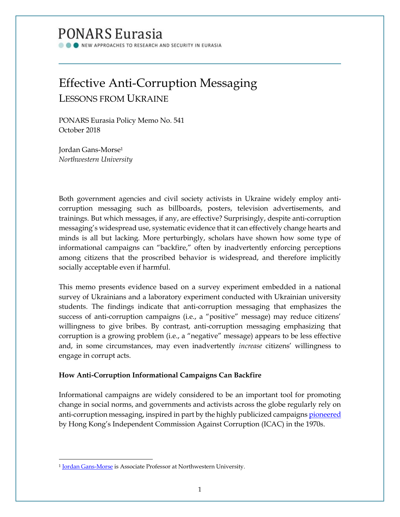## PONARS Eurasia

NEW APPROACHES TO RESEARCH AND SECURITY IN EURASIA

# Effective Anti-Corruption Messaging

LESSONS FROM UKRAINE

PONARS Eurasia Policy Memo No. 541 October 2018

Jordan Gans-Morse<sup>1</sup> *Northwestern University*

Both government agencies and civil society activists in Ukraine widely employ anticorruption messaging such as billboards, posters, television advertisements, and trainings. But which messages, if any, are effective? Surprisingly, despite anti-corruption messaging's widespread use, systematic evidence that it can effectively change hearts and minds is all but lacking. More perturbingly, scholars have shown how some type of informational campaigns can "backfire," often by inadvertently enforcing perceptions among citizens that the proscribed behavior is widespread, and therefore implicitly socially acceptable even if harmful.

This memo presents evidence based on a survey experiment embedded in a national survey of Ukrainians and a laboratory experiment conducted with Ukrainian university students. The findings indicate that anti-corruption messaging that emphasizes the success of anti-corruption campaigns (i.e., a "positive" message) may reduce citizens' willingness to give bribes. By contrast, anti-corruption messaging emphasizing that corruption is a growing problem (i.e., a "negative" message) appears to be less effective and, in some circumstances, may even inadvertently *increase* citizens' willingness to engage in corrupt acts.

### **How Anti-Corruption Informational Campaigns Can Backfire**

Informational campaigns are widely considered to be an important tool for promoting change in social norms, and governments and activists across the globe regularly rely on anti-corruption messaging, inspired in part by the highly publicized campaigns [pioneered](https://www.ucpress.edu/book/9780520074088/controlling-corruption) by Hong Kong's Independent Commission Against Corruption (ICAC) in the 1970s.

 $\overline{\phantom{a}}$ 

<sup>&</sup>lt;sup>1</sup> [Jordan Gans-Morse](http://www.ponarseurasia.org/members/jordan-gans-morse) is Associate Professor at Northwestern University.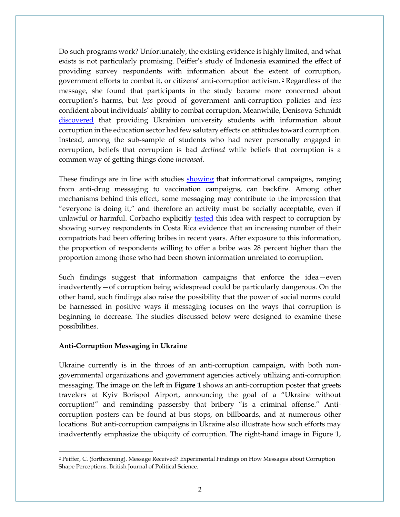Do such programs work? Unfortunately, the existing evidence is highly limited, and what exists is not particularly promising. Peiffer's study of Indonesia examined the effect of providing survey respondents with information about the extent of corruption, government efforts to combat it, or citizens' anti-corruption activism. <sup>2</sup> Regardless of the message, she found that participants in the study became more concerned about corruption's harms, but *less* proud of government anti-corruption policies and *less* confident about individuals' ability to combat corruption. Meanwhile, Denisova-Schmidt [discovered](https://www.tandfonline.com/doi/abs/10.1080/15387216.2016.1155467) that providing Ukrainian university students with information about corruption in the education sector had few salutary effects on attitudes toward corruption. Instead, among the sub-sample of students who had never personally engaged in corruption, beliefs that corruption is bad *declined* while beliefs that corruption is a common way of getting things done *increased*.

These findings are in line with studies [showing](https://www.ncbi.nlm.nih.gov/pubmed/11818299) that informational campaigns, ranging from anti-drug messaging to vaccination campaigns, can backfire. Among other mechanisms behind this effect, some messaging may contribute to the impression that "everyone is doing it," and therefore an activity must be socially acceptable, even if unlawful or harmful. Corbacho explicitly [tested](https://www.jstor.org/stable/24877473?seq=1#page_scan_tab_contents) this idea with respect to corruption by showing survey respondents in Costa Rica evidence that an increasing number of their compatriots had been offering bribes in recent years. After exposure to this information, the proportion of respondents willing to offer a bribe was 28 percent higher than the proportion among those who had been shown information unrelated to corruption.

Such findings suggest that information campaigns that enforce the idea—even inadvertently—of corruption being widespread could be particularly dangerous. On the other hand, such findings also raise the possibility that the power of social norms could be harnessed in positive ways if messaging focuses on the ways that corruption is beginning to decrease. The studies discussed below were designed to examine these possibilities.

#### **Anti-Corruption Messaging in Ukraine**

 $\overline{\phantom{a}}$ 

Ukraine currently is in the throes of an anti-corruption campaign, with both nongovernmental organizations and government agencies actively utilizing anti-corruption messaging. The image on the left in **Figure 1** shows an anti-corruption poster that greets travelers at Kyiv Borispol Airport, announcing the goal of a "Ukraine without corruption!" and reminding passersby that bribery "is a criminal offense." Anticorruption posters can be found at bus stops, on billboards, and at numerous other locations. But anti-corruption campaigns in Ukraine also illustrate how such efforts may inadvertently emphasize the ubiquity of corruption. The right-hand image in Figure 1,

<sup>2</sup> Peiffer, C. (forthcoming). Message Received? Experimental Findings on How Messages about Corruption Shape Perceptions. British Journal of Political Science.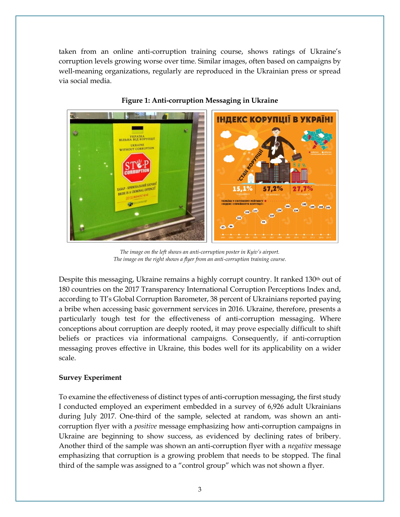taken from an online anti-corruption training course, shows ratings of Ukraine's corruption levels growing worse over time. Similar images, often based on campaigns by well-meaning organizations, regularly are reproduced in the Ukrainian press or spread via social media.



#### **Figure 1: Anti-corruption Messaging in Ukraine**

The image on the left shows an anti-corruption poster in Kyiv's airport.<br>The integer on the night shows a fluor from an anti-corruption training source The image on the right shows a flyer from an anti-corruption training course.

Despite this messaging, Ukraine remains a highly corrupt country. It ranked 130<sup>th</sup> out of 180 countries on the 2017 Transparency International Corruption Perceptions Index and, according to TI's Global Corruption Barometer, 38 percent of Ukrainians reported paying a bribe when accessing basic government services in 2016. Ukraine, therefore, presents a particularly tough test for the effectiveness of anti-corruption messaging. Where particularly, tought test for the enterprises of that estaplism inessaging. There conceptions about corruption are deeply rooted, it may prove especially difficult to shift beliefs or practices via informational campaigns. Consequently, if anti-corruption messaging proves effective in Ukraine, this bodes well for its applicability on a wider scale. tiveness of anti-corruption messaging. Whenever conceptions about corrections about corrections about corrections are expectively assumed as  $\mathbb{R}^n$  $\frac{1}{2}$  rooted – as in most of the post-Soviet world – it may prove especially different value of the post-Soviet world – it may prove especially different values of the post-Soviet world – it may prove especially diffe

#### **Survey Experiment**  $\mathbf{r}$  informational campaigns. Consequently, if and campaigns. Consequently, if and  $\mathbf{r}$

To examine the effectiveness of distinct types of anti-corruption messaging, the first study I conducted employed an experiment embedded in a survey of 6,926 adult Ukrainians during July 2017. One-third of the sample, selected at random, was shown an anticorruption flyer with a *positive* message emphasizing how anti-corruption campaigns in Ukraine are beginning to show success, as evidenced by declining rates of bribery. Another third of the sample was shown an anti-corruption flyer with a *negative* message emphasizing that corruption is a growing problem that needs to be stopped. The final third of the sample was assigned to a "control group" which was not shown a flyer. Lconducted on

nique, the crosswise model (Tan et al., 2009). The crosswise model is designed to elicit more to elicit more h<br>T his approach is designed to elicit more to elicit more to elicit more to elicit more to elicit more to elici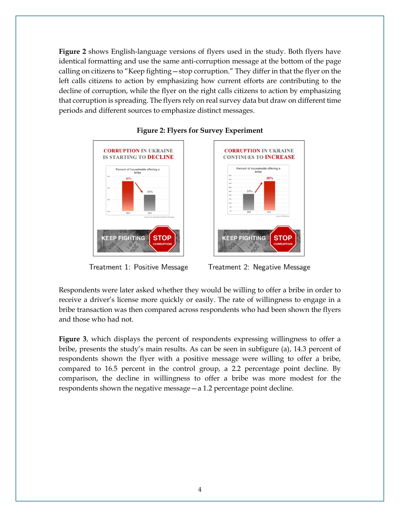**Figure 2** shows English-language versions of flyers used in the study. Both flyers have identical formatting and use the same anti-corruption message at the bottom of the page calling on citizens to "Keep fighting—stop corruption." They differ in that the flyer on the left calls citizens to action by emphasizing how current efforts are contributing to the decline of corruption, while the flyer on the right calls citizens to action by emphasizing that corruption is spreading. The flyers rely on real survey data but draw on different time periods and different sources to emphasize distinct messages.



**Figure 2: Flyers for Survey Experiment**





**STOP** 

**KEEP FIGHTING** 

**CORRUPTION IN UKRAINE** 

**CONTINUES TO INCREASE** Percent of households offering a

Respondents were later asked whether they would be willing to offer a bribe in order to receive a driver's license more quickly or easily. The rate of willingness to engage in a bribe transaction was then compared across respondents who had been shown the flyers and those who had not.

**Figure 3**, which displays the percent of respondents expressing willingness to offer a bribe, presents the study's main results. As can be seen in subfigure (a), 14.3 percent of respondents shown the flyer with a positive message were willing to offer a bribe, compared to 16.5 percent in the control group, a 2.2 percentage point decline. By comparison, the decline in willingness to offer a bribe was more modest for the respondents shown the negative message—a 1.2 percentage point decline.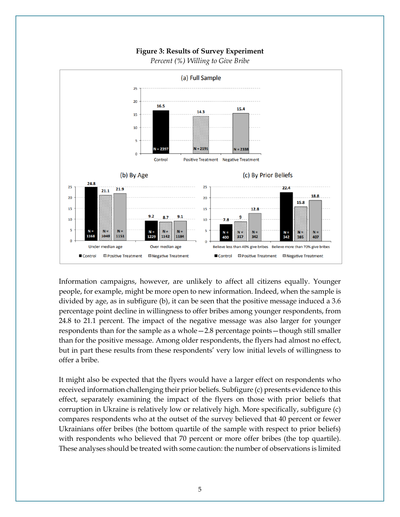



*Percent (%) Willing to Give Bribe*

Information campaigns, however, are unlikely to affect all citizens equally. Younger people, for example, might be more open to new information. Indeed, when the sample is divided by age, as in subfigure (b), it can be seen that the positive message induced a 3.6 percentage point decline in willingness to offer bribes among younger respondents, from 24.8 to 21.1 percent. The impact of the negative message was also larger for younger respondents than for the sample as a whole—2.8 percentage points—though still smaller than for the positive message. Among older respondents, the flyers had almost no effect, but in part these results from these respondents' very low initial levels of willingness to offer a bribe.

It might also be expected that the flyers would have a larger effect on respondents who received information challenging their prior beliefs. Subfigure (c) presents evidence to this effect, separately examining the impact of the flyers on those with prior beliefs that corruption in Ukraine is relatively low or relatively high. More specifically, subfigure (c) compares respondents who at the outset of the survey believed that 40 percent or fewer Ukrainians offer bribes (the bottom quartile of the sample with respect to prior beliefs) with respondents who believed that 70 percent or more offer bribes (the top quartile). These analyses should be treated with some caution: the number of observations is limited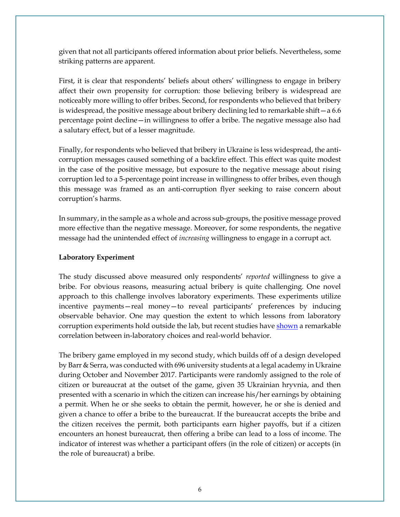given that not all participants offered information about prior beliefs. Nevertheless, some striking patterns are apparent.

First, it is clear that respondents' beliefs about others' willingness to engage in bribery affect their own propensity for corruption: those believing bribery is widespread are noticeably more willing to offer bribes. Second, for respondents who believed that bribery is widespread, the positive message about bribery declining led to remarkable shift—a  $6.6$ percentage point decline—in willingness to offer a bribe. The negative message also had a salutary effect, but of a lesser magnitude.

Finally, for respondents who believed that bribery in Ukraine is less widespread, the anticorruption messages caused something of a backfire effect. This effect was quite modest in the case of the positive message, but exposure to the negative message about rising corruption led to a 5-percentage point increase in willingness to offer bribes, even though this message was framed as an anti-corruption flyer seeking to raise concern about corruption's harms.

In summary, in the sample as a whole and across sub-groups, the positive message proved more effective than the negative message. Moreover, for some respondents, the negative message had the unintended effect of *increasing* willingness to engage in a corrupt act.

#### **Laboratory Experiment**

The study discussed above measured only respondents' *reported* willingness to give a bribe. For obvious reasons, measuring actual bribery is quite challenging. One novel approach to this challenge involves laboratory experiments. These experiments utilize incentive payments—real money—to reveal participants' preferences by inducing observable behavior. One may question the extent to which lessons from laboratory corruption experiments hold outside the lab, but recent studies have [shown](https://cepr.org/sites/default/files/events/papers/796_BARR%20-%20Corruption%20and%20Culture.pdf) a remarkable correlation between in-laboratory choices and real-world behavior.

The bribery game employed in my second study, which builds off of a design developed by Barr & Serra, was conducted with 696 university students at a legal academy in Ukraine during October and November 2017. Participants were randomly assigned to the role of citizen or bureaucrat at the outset of the game, given 35 Ukrainian hryvnia, and then presented with a scenario in which the citizen can increase his/her earnings by obtaining a permit. When he or she seeks to obtain the permit, however, he or she is denied and given a chance to offer a bribe to the bureaucrat. If the bureaucrat accepts the bribe and the citizen receives the permit, both participants earn higher payoffs, but if a citizen encounters an honest bureaucrat, then offering a bribe can lead to a loss of income. The indicator of interest was whether a participant offers (in the role of citizen) or accepts (in the role of bureaucrat) a bribe.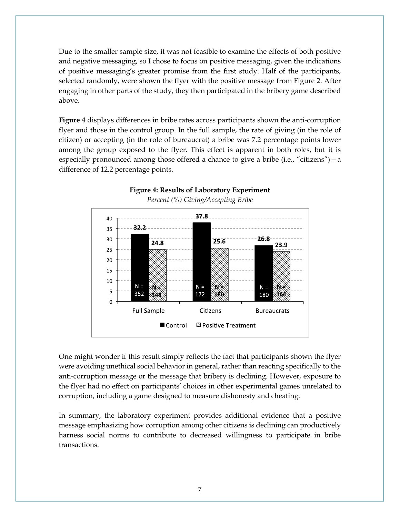Due to the smaller sample size, it was not feasible to examine the effects of both positive and negative messaging, so I chose to focus on positive messaging, given the indications of positive messaging's greater promise from the first study. Half of the participants, selected randomly, were shown the flyer with the positive message from Figure 2. After engaging in other parts of the study, they then participated in the bribery game described above.

**Figure 4** displays differences in bribe rates across participants shown the anti-corruption flyer and those in the control group. In the full sample, the rate of giving (in the role of citizen) or accepting (in the role of bureaucrat) a bribe was 7.2 percentage points lower among the group exposed to the flyer. This effect is apparent in both roles, but it is especially pronounced among those offered a chance to give a bribe (i.e., "citizens")—a difference of 12.2 percentage points.



**Figure 4: Results of Laboratory Experiment**

One might wonder if this result simply reflects the fact that participants shown the flyer were avoiding unethical social behavior in general, rather than reacting specifically to the anti-corruption message or the message that bribery is declining. However, exposure to the flyer had no effect on participants' choices in other experimental games unrelated to corruption, including a game designed to measure dishonesty and cheating.

In summary, the laboratory experiment provides additional evidence that a positive message emphasizing how corruption among other citizens is declining can productively harness social norms to contribute to decreased willingness to participate in bribe transactions.